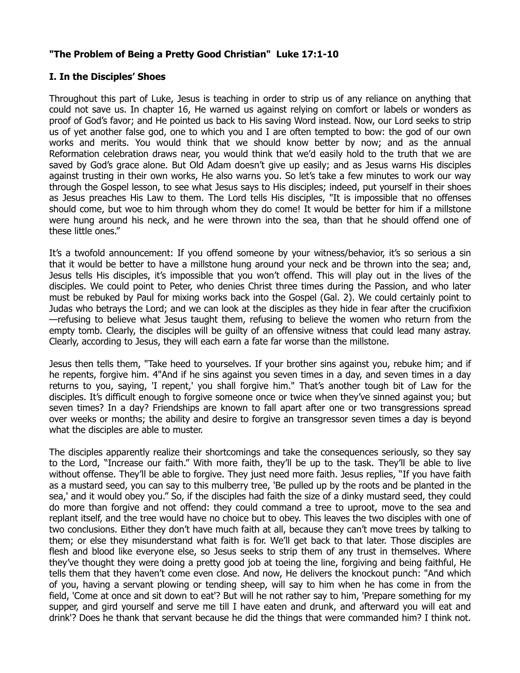## **"The Problem of Being a Pretty Good Christian" Luke 17:1-10**

## **I. In the Disciples' Shoes**

Throughout this part of Luke, Jesus is teaching in order to strip us of any reliance on anything that could not save us. In chapter 16, He warned us against relying on comfort or labels or wonders as proof of God's favor; and He pointed us back to His saving Word instead. Now, our Lord seeks to strip us of yet another false god, one to which you and I are often tempted to bow: the god of our own works and merits. You would think that we should know better by now; and as the annual Reformation celebration draws near, you would think that we'd easily hold to the truth that we are saved by God's grace alone. But Old Adam doesn't give up easily; and as Jesus warns His disciples against trusting in their own works, He also warns you. So let's take a few minutes to work our way through the Gospel lesson, to see what Jesus says to His disciples; indeed, put yourself in their shoes as Jesus preaches His Law to them. The Lord tells His disciples, "It is impossible that no offenses should come, but woe to him through whom they do come! It would be better for him if a millstone were hung around his neck, and he were thrown into the sea, than that he should offend one of these little ones."

It's a twofold announcement: If you offend someone by your witness/behavior, it's so serious a sin that it would be better to have a millstone hung around your neck and be thrown into the sea; and, Jesus tells His disciples, it's impossible that you won't offend. This will play out in the lives of the disciples. We could point to Peter, who denies Christ three times during the Passion, and who later must be rebuked by Paul for mixing works back into the Gospel (Gal. 2). We could certainly point to Judas who betrays the Lord; and we can look at the disciples as they hide in fear after the crucifixion —refusing to believe what Jesus taught them, refusing to believe the women who return from the empty tomb. Clearly, the disciples will be guilty of an offensive witness that could lead many astray. Clearly, according to Jesus, they will each earn a fate far worse than the millstone.

Jesus then tells them, "Take heed to yourselves. If your brother sins against you, rebuke him; and if he repents, forgive him. 4"And if he sins against you seven times in a day, and seven times in a day returns to you, saying, 'I repent,' you shall forgive him." That's another tough bit of Law for the disciples. It's difficult enough to forgive someone once or twice when they've sinned against you; but seven times? In a day? Friendships are known to fall apart after one or two transgressions spread over weeks or months; the ability and desire to forgive an transgressor seven times a day is beyond what the disciples are able to muster.

The disciples apparently realize their shortcomings and take the consequences seriously, so they say to the Lord, "Increase our faith." With more faith, they'll be up to the task. They'll be able to live without offense. They'll be able to forgive. They just need more faith. Jesus replies, "If you have faith as a mustard seed, you can say to this mulberry tree, 'Be pulled up by the roots and be planted in the sea,' and it would obey you." So, if the disciples had faith the size of a dinky mustard seed, they could do more than forgive and not offend: they could command a tree to uproot, move to the sea and replant itself, and the tree would have no choice but to obey. This leaves the two disciples with one of two conclusions. Either they don't have much faith at all, because they can't move trees by talking to them; or else they misunderstand what faith is for. We'll get back to that later. Those disciples are flesh and blood like everyone else, so Jesus seeks to strip them of any trust in themselves. Where they've thought they were doing a pretty good job at toeing the line, forgiving and being faithful, He tells them that they haven't come even close. And now, He delivers the knockout punch: "And which of you, having a servant plowing or tending sheep, will say to him when he has come in from the field, 'Come at once and sit down to eat'? But will he not rather say to him, 'Prepare something for my supper, and gird yourself and serve me till I have eaten and drunk, and afterward you will eat and drink'? Does he thank that servant because he did the things that were commanded him? I think not.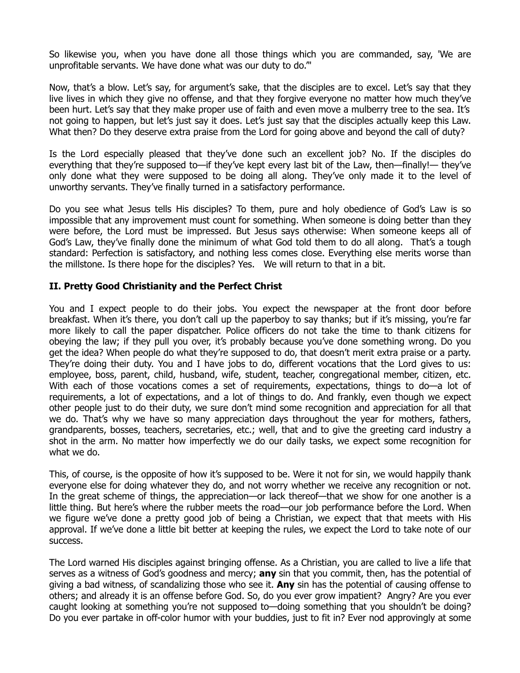So likewise you, when you have done all those things which you are commanded, say, 'We are unprofitable servants. We have done what was our duty to do.'"

Now, that's a blow. Let's say, for argument's sake, that the disciples are to excel. Let's say that they live lives in which they give no offense, and that they forgive everyone no matter how much they've been hurt. Let's say that they make proper use of faith and even move a mulberry tree to the sea. It's not going to happen, but let's just say it does. Let's just say that the disciples actually keep this Law. What then? Do they deserve extra praise from the Lord for going above and beyond the call of duty?

Is the Lord especially pleased that they've done such an excellent job? No. If the disciples do everything that they're supposed to—if they've kept every last bit of the Law, then—finally!— they've only done what they were supposed to be doing all along. They've only made it to the level of unworthy servants. They've finally turned in a satisfactory performance.

Do you see what Jesus tells His disciples? To them, pure and holy obedience of God's Law is so impossible that any improvement must count for something. When someone is doing better than they were before, the Lord must be impressed. But Jesus says otherwise: When someone keeps all of God's Law, they've finally done the minimum of what God told them to do all along. That's a tough standard: Perfection is satisfactory, and nothing less comes close. Everything else merits worse than the millstone. Is there hope for the disciples? Yes. We will return to that in a bit.

## **II. Pretty Good Christianity and the Perfect Christ**

You and I expect people to do their jobs. You expect the newspaper at the front door before breakfast. When it's there, you don't call up the paperboy to say thanks; but if it's missing, you're far more likely to call the paper dispatcher. Police officers do not take the time to thank citizens for obeying the law; if they pull you over, it's probably because you've done something wrong. Do you get the idea? When people do what they're supposed to do, that doesn't merit extra praise or a party. They're doing their duty. You and I have jobs to do, different vocations that the Lord gives to us: employee, boss, parent, child, husband, wife, student, teacher, congregational member, citizen, etc. With each of those vocations comes a set of requirements, expectations, things to do—a lot of requirements, a lot of expectations, and a lot of things to do. And frankly, even though we expect other people just to do their duty, we sure don't mind some recognition and appreciation for all that we do. That's why we have so many appreciation days throughout the year for mothers, fathers, grandparents, bosses, teachers, secretaries, etc.; well, that and to give the greeting card industry a shot in the arm. No matter how imperfectly we do our daily tasks, we expect some recognition for what we do.

This, of course, is the opposite of how it's supposed to be. Were it not for sin, we would happily thank everyone else for doing whatever they do, and not worry whether we receive any recognition or not. In the great scheme of things, the appreciation—or lack thereof—that we show for one another is a little thing. But here's where the rubber meets the road—our job performance before the Lord. When we figure we've done a pretty good job of being a Christian, we expect that that meets with His approval. If we've done a little bit better at keeping the rules, we expect the Lord to take note of our success.

The Lord warned His disciples against bringing offense. As a Christian, you are called to live a life that serves as a witness of God's goodness and mercy; **any** sin that you commit, then, has the potential of giving a bad witness, of scandalizing those who see it. **Any** sin has the potential of causing offense to others; and already it is an offense before God. So, do you ever grow impatient? Angry? Are you ever caught looking at something you're not supposed to—doing something that you shouldn't be doing? Do you ever partake in off-color humor with your buddies, just to fit in? Ever nod approvingly at some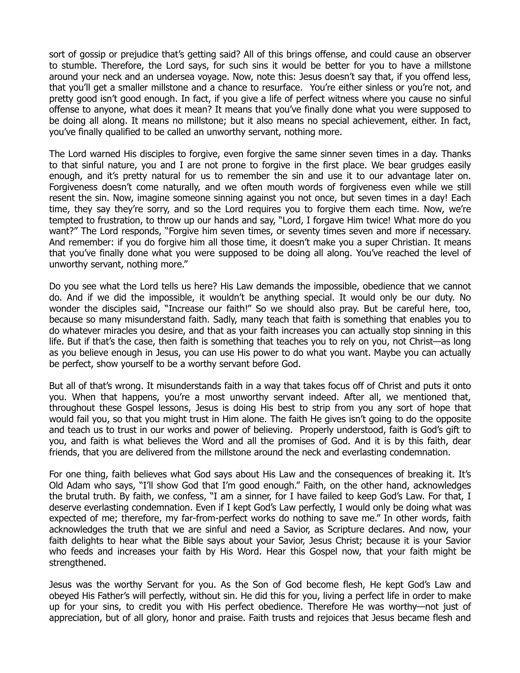sort of gossip or prejudice that's getting said? All of this brings offense, and could cause an observer to stumble. Therefore, the Lord says, for such sins it would be better for you to have a millstone around your neck and an undersea voyage. Now, note this: Jesus doesn't say that, if you offend less, that you'll get a smaller millstone and a chance to resurface. You're either sinless or you're not, and pretty good isn't good enough. In fact, if you give a life of perfect witness where you cause no sinful offense to anyone, what does it mean? It means that you've finally done what you were supposed to be doing all along. It means no millstone; but it also means no special achievement, either. In fact, you've finally qualified to be called an unworthy servant, nothing more.

The Lord warned His disciples to forgive, even forgive the same sinner seven times in a day. Thanks to that sinful nature, you and I are not prone to forgive in the first place. We bear grudges easily enough, and it's pretty natural for us to remember the sin and use it to our advantage later on. Forgiveness doesn't come naturally, and we often mouth words of forgiveness even while we still resent the sin. Now, imagine someone sinning against you not once, but seven times in a day! Each time, they say they're sorry, and so the Lord requires you to forgive them each time. Now, we're tempted to frustration, to throw up our hands and say, "Lord, I forgave Him twice! What more do you want?" The Lord responds, "Forgive him seven times, or seventy times seven and more if necessary. And remember: if you do forgive him all those time, it doesn't make you a super Christian. It means that you've finally done what you were supposed to be doing all along. You've reached the level of unworthy servant, nothing more."

Do you see what the Lord tells us here? His Law demands the impossible, obedience that we cannot do. And if we did the impossible, it wouldn't be anything special. It would only be our duty. No wonder the disciples said, "Increase our faith!" So we should also pray. But be careful here, too, because so many misunderstand faith. Sadly, many teach that faith is something that enables you to do whatever miracles you desire, and that as your faith increases you can actually stop sinning in this life. But if that's the case, then faith is something that teaches you to rely on you, not Christ—as long as you believe enough in Jesus, you can use His power to do what you want. Maybe you can actually be perfect, show yourself to be a worthy servant before God.

But all of that's wrong. It misunderstands faith in a way that takes focus off of Christ and puts it onto you. When that happens, you're a most unworthy servant indeed. After all, we mentioned that, throughout these Gospel lessons, Jesus is doing His best to strip from you any sort of hope that would fail you, so that you might trust in Him alone. The faith He gives isn't going to do the opposite and teach us to trust in our works and power of believing. Properly understood, faith is God's gift to you, and faith is what believes the Word and all the promises of God. And it is by this faith, dear friends, that you are delivered from the millstone around the neck and everlasting condemnation.

For one thing, faith believes what God says about His Law and the consequences of breaking it. It's Old Adam who says, "I'll show God that I'm good enough." Faith, on the other hand, acknowledges the brutal truth. By faith, we confess, "I am a sinner, for I have failed to keep God's Law. For that, I deserve everlasting condemnation. Even if I kept God's Law perfectly, I would only be doing what was expected of me; therefore, my far-from-perfect works do nothing to save me." In other words, faith acknowledges the truth that we are sinful and need a Savior, as Scripture declares. And now, your faith delights to hear what the Bible says about your Savior, Jesus Christ; because it is your Savior who feeds and increases your faith by His Word. Hear this Gospel now, that your faith might be strengthened.

Jesus was the worthy Servant for you. As the Son of God become flesh, He kept God's Law and obeyed His Father's will perfectly, without sin. He did this for you, living a perfect life in order to make up for your sins, to credit you with His perfect obedience. Therefore He was worthy—not just of appreciation, but of all glory, honor and praise. Faith trusts and rejoices that Jesus became flesh and